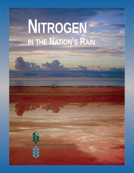# **NITROGEN IN THE NATION'S RAIN**



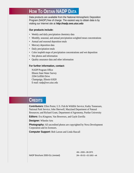### **HOW TO OBTAIN NADP DATA**

Data products are available from the National Atmospheric Deposition Program (NADP) free of charge. The easiest way to obtain data is by visiting our Internet site at **http://nadp.sws.uiuc.edu**

#### **Our products include:**

- Weekly and daily precipitation chemistry data
- Monthly, seasonal, and annual precipitation-weighted mean concentrations
- Annual and seasonal deposition totals
- Mercury deposition data
- Daily precipitation totals
- Color isopleth maps of precipitation concentrations and wet deposition
- Site photos and information
- Quality assurance data and other information

#### **For further information, contact:**

NADP Program Office Illinois State Water Survey 2204 Griffith Drive Champaign, Illinois 61820 E-mail: nadp@sws.uiuc.edu

### **CREDITS**

**Contributors:** Ellen Porter, U.S. Fish & Wildlife Service; Kathy Tonnessen, National Park Service; John Sherwell, Maryland Department of Natural Resources; and Richard Grant, Department of Agronomy, Purdue University

**Editors:** Eva Kingston, Van Bowersox, and Gayle Zorrilla

**Designer:** Wheeler Arts

**Photography:** All uncredited photos are copyrighted by Nova Development Corporation and its licensors.

**Computer Support:** Bob Larson and Linda Hascall

NADP Brochure 2000-01c (revised) 2M—05-02—02-1802—ek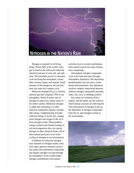

Nitrogen is essential for all living things. Nearly 98% of the world's nitrogen is found in the solid earth within the chemical structure of rock, soil, and sediment. The remainder moves in a dynamic cycle involving the atmosphere, oceans, lakes, streams, plants, and animals. Small amounts of the nitrogen in soil and sediment also enter this complex cycle.

Molecular nitrogen  $(N_2)$  is a colorless odorless gas that comprises 78% of our atmosphere. Nearly 8 metric tons of nitrogen sit atop every square meter of the earth's surface. Molecular nitrogen is stable and converting it to other chemical compounds requires considerable energy. A lightning bolt provides sufficient energy to do the job, causing some nitrogen and oxygen in the air to form nitrogen oxides. Photosynthetic energy in plants and chemical energy in soil microorganisms also can convert nitrogen to other chemical forms. All of these natural processes occur in the cycling of nitrogen in our environment.

In addition to molecular nitrogen, trace amounts of nitrogen oxides, nitric acid vapor, gaseous ammonia, particulate nitrate and ammonium compounds, and organic nitrogen circulate through the atmosphere. In the United States, nitrogen contributions from human

activities rival or exceed contributions from natural sources for many of these trace compounds.

Atmospheric nitrogen compounds cycle to the land and water through atmospheric deposition. Wet deposition, predominantly rain and snow, carries nitrate and ammonium. Dry deposition involves complex interactions between airborne nitrogen compounds and plant, water, soil, rock, or building surfaces.

Key issues for scientists, policymakers, and the public are the extent to which human activities are affecting the form and amount of nitrogen in the air, the deposition of nitrogen compounds from the air, and nitrogen cycling in the environment.

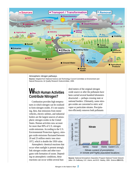

Atmospheric nitrogen pathways.

**Source:** Adapted from National Science and Technology Council Committee on Environment and Natural Resources, Air Quality Research Subcommittee, 1999.

### **Which Human Activities Contribute Nitrogen?**

Combustion provides high temperatures in which nitrogen can be oxidized to form nitrogen oxides. It's not surprising, then, that emissions from motor vehicles, electric utilities, and industrial boilers are the largest sources of atmospheric nitrogen oxides in the United States. Human activities now account for more than 90% of U.S. nitrogen oxide emissions. According to the U.S. Environmental Protection Agency, nitrogen oxide emissions fluctuated between 20 and 23 million metric tons since 1972, which is double the 1950 value.

Atmospheric chemical reactions that occur when sunlight is present strongly link nitrogen oxides and other trace gases with formation of ozone. Depending on atmospheric conditions, these reactions can occur within several hundred meters of the original nitrogen oxide source or after the pollutants have been carried several hundred kilometers downwind — perhaps crossing state or national borders. Ultimately, some nitrogen oxides are converted to nitric acid vapor or particulate nitrates. Precipitation efficiently removes both pollutants



**Source:** National Atmospheric Deposition Program National Trends Network (after J.N. Galloway, G.E. Likens, and M.E. Hawley, 1984. Science **226**:829).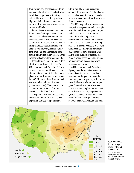from the air. As a consequence, nitrates in precipitation tend to be highest where the air is most polluted with nitrogen oxides. These areas are likely to have high population densities, numerous motor vehicles, and many power plants or industrial boilers.

Ammonia and ammonium are other forms in which nitrogen occurs. Ammonia is a gas that becomes ammonium when dissolved in water or when present in soils or airborne particles. Unlike nitrogen oxides that form during combustion, soil microorganisms naturally form ammonia and ammonium, compounds of nitrogen and hydrogen. Other processes also form these compounds.

Today, farmers apply millions of tons of nitrogen fertilizers to the soil. The U.S. Environmental Protection Agency estimates that half a million metric tons of ammonia were emitted to the atmosphere from fertilizer applications alone in 1997. More than three times as much was emitted from livestock waste (manure and urine). These two sources account for almost 80% of ammonia emissions in the United States.

Precipitation readily removes ammonia and ammonium from the air. Wet deposition of these compounds and

nitrate could be viewed as another source of fertilizer for agricultural crops (see sidebar on agriculture). It can also be an unwanted input of fertilizer to sensitive ecosystems.

The U.S. map below shows the total inorganic nitrogen deposited in precipitation in 1998. Total inorganic nitrogen includes the nitrogen from nitrate ammonium. Wet inorganic nitrogen deposition was highest in the intensely cultivated upper Midwest. Parts of eight states from eastern Nebraska to western Ohio received 7 kilograms per hectare (6.2 pounds per acre) or higher. Onehalf to three-quarters of the total inorganic nitrogen deposited in this area is from ammonium deposition, which peaks in this same area.

A U.S. Environmental Protection Agency map shows that atmospheric ammonia emissions also peak there. Ammonium-nitrogen dominates the total inorganic nitrogen deposition in the upper Midwest, while nitrate-nitrogen generally dominates in the Northeast.

Areas with the highest nitrogen emissions do not necessarily experience the greatest deposition effects, which can occur far from the original nitrogen source. Scientists have found that some



1998 wet deposition of nitrogen from nitrate and ammonium.

**Source:** National Atmospheric Deposition Program National Trends Network.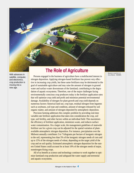

satellite, computer, and electronics, crop production is moving into a new age.

### **The Role of Agriculture**

With advances in John Deere - NAAMC. Persons engaged in the business of agriculture have a multifaceted interest in nitrogen deposition. Applying nitrogen-based fertilizers has proven very effective in increasing crop yields, but these same fertilizers may be detrimental to the goal of sustainable agriculture and may raise the amount of nitrogen in ground water and surface water downstream of the farmland, contributing to the degradation of aquatic ecosystems. Therefore, one of the major challenges facing environmentally conscious crop producers today is the fertilizer application rates that will optimize crop yield and profit and minimize potential environmental damage. Availability of nitrogen for plant growth and crop yield depends on numerous factors: historical land use, crop type, residual nitrogen from legumes such as soybeans, soil type and condition, amount of nitrogen released by soil organic matter, and amount of nitrogen deposited by atmospheric deposition.

> Precision farming addresses this complex problem by providing real-time variable-rate fertilizer application that takes into consideration the crop, soil type, soil fertility, and other factors within an individual field. This maximizes the efficiency of fertilizer application, minimizes waste, and reduces surface water contamination. On a larger scale, the management guidelines of statewide fertilizer use for a given crop can be adjusted for the spatial variation of plantavailable atmospheric nitrogen deposition. For instance, precipitation over the Midwest annually contributes 3 to 7 kilograms per hectare of inorganic nitrogen to the soil, representing less than 5% of the inorganic nitrogen needs of corn and up to 15% of the nitrogen needs of wheat, depending on the target yield of the crop and on soil quality. Estimated atmospheric nitrogen deposition for the eastern United States could account for at least 10% of the nitrogen needs of major, nonnitrogen-fixing crops.

> All of us benefit as science and technology continue to work together to optimize farmland crop production and safeguard the water supply and terrestrial and aquatic ecosystems.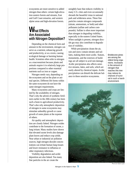ecosystems are more sensitive to added nitrogen than others: certain high-elevation eastern forests and streams, East and Gulf Coast estuaries, and western alpine areas and high-elevation forests.

### **What Effects Are Associated with Nitrogen Deposition?**

Depending on the chemical form and amount in the environment, nitrogen can serve as a nutrient, enhancing growth and productivity, or as a toxin, causing ecological damage or harming human health. Scientists often refer to nitrogen as a macronutrient because plants and animals require it in relatively large proportions compared to other essential nutrients such as iron or copper.

Nitrogen needs vary, depending on the ecosystem and on the plant or animal species. Different life forms within the same ecosystem do not have the same nitrogen requirements.

Many ecosystems and crops are limited by the availability of nitrogen. That's why the advent of synthetic fertilizers earlier in the 20th century has been such a boon to agricultural productivity. That's also why atmospheric deposition of nitrogen in some ecosystems may stimulate unhealthy growth or cause growth of some plants at the expense of others.

Air quality and atmospheric deposition are closely linked. Nitrogen oxides contribute to the formation of ozone, a lung irritant. Many studies have shown that elevated ozone levels also damage plant leaves and reduce crop yields. Near urban or industrial air pollution sources, high nitrogen dioxide concentrations can irritate human lung tissues and lower resistance to influenza or other respiratory infections.

Visibility degradation and acidic deposition are also linked. Too many fine particles in the air create the

unsightly haze that reduces visibility in many U.S. cities and even occasionally shrouds the beautiful vistas in national park and wilderness areas. These fine particles contain nitrogen compounds (nitrate, ammonium, or both) and other pollutants (sulfate and carbon compounds). Sulfate is often more important than nitrogen in degrading visibility, especially in the eastern United States. When sunlight is present, nitrogen dioxide gas may also contribute to degradation of visibility .

While precipitation cleans the air, rain and snow contain nitrates and sulfates, making them more acidic. Statues, monuments, and the exteriors of buildings are all subject to acid rain damage. Acidic precipitation also affects sensitive streams, lakes, and soils, which are easily altered by chemical inputs. Acidic precipitation can disturb the delicate balance in these sensitive ecosystems.

Bristlecone pines are among the oldest living organisms. Increases in the amount of nitrogen that reaches this tree may reduce its chances of survival in such a harsh environment.



PHOTO BY GARY LEAR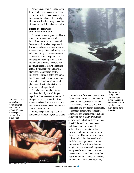Nitrogen deposition also may have a fertilizer effect. In estuaries and coastal ecosystems, this can lead to eutrophication, a condition characterized by algae blooms, low dissolved oxygen, and loss of invertebrates, fish, and other wildlife.

#### **Effects on Freshwater and Terrestrial Systems**

Freshwater streams, ponds, and lakes respond to the water and chemical inputs from rainstorms and snowmelt. On rare occasions when the ground is frozen, some headwater streams carry a surge of nitrate, sulfate, and acidity provided directly by rain or melting snow.

More typically, precipitation soaks into the ground adding nitrate and ammonium to the nitrogen cycle, which also involves soils, decaying plant and animal matter, microbes, and living plant roots. Many factors control the rate at which nitrogen enters and leaves this complex cycle, including soil type, temperature, microbial activity, and plant needs. Precipitation is just one source of the nitrogen in soils.

Scientists have found that the cumulative effect of years of nitrogen deposition does increase the amount of nitrogen carried by streamflow from some watersheds. Rainstorms and snowmelt can flush accumulated nitrate from soils into these streams.

Nitrogen deposition, especially in combination with sulfate, can contribute





to episodic acidification of streams. Not all aquatic organisms have the same tolerance for these episodes, which can cause a decline in acid-sensitive fish, amphibian, and invertebrate populations.

Nitrogen deposition to forest and alpine soils can affect plant populations and overall forest health. Decades of acidic nitrate and sulfate deposition has depleted the supply of calcium and mobilized aluminum in some forest soils. Calcium is essential for tree growth, but aluminum interferes with the uptake of this nutrient by tree roots.

Low soil calcium has been linked to the dieback of sugar maples in some northeastern forests. Researchers are studying nitrogen-saturated, high-elevation spruce/fir forests in the Great Smoky Mountains National Park. They find that as aluminum in soil water increases, the calcium in spruce trees decreases,

nitrogen often reaches a peak during the spring when snowmelt or rainstorms can flush nitrate from the soils.

PHOTO BY KATHY TONNESSEN

Stream acidification in Shenandoah National Park has had effects on some native species, such as this brook trout.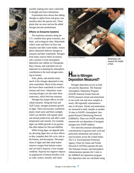

possibly making trees more vulnerable to drought and insect infestations.

Experiments have shown that adding nitrogen to alpine forest and grass communities alters the species mix. Those plants that can store and use the added nitrogen become predominant.

#### **Effects on Estuarine Systems**

The numerous estuaries along the U.S. coastline have great economic, aesthetic, and ecological value. Watersheds collect water and direct its flow into estuaries and other water bodies. Atmospheric deposition delivers nitrogen to estuaries and their watersheds. Nitrogen from many sources enters an estuary; only a portion is from atmospheric deposition (see sidebar on Chesapeake Bay). Estuary and watershed size are important in evaluating the atmospheric contribution to the total nitrogen entering an estuary.

Soils, plants, and animals retain much of the nitrogen deposited in estuarine watersheds. Much of the remainder leaves these watersheds in runoff to streams and rivers. Subsurface water carrying nitrogen can also enter these waterways, which feed into estuaries.

Nitrogen has unique effects on individual estuaries. Along the East and Gulf Coasts, nitrogen promotes growth of algae. These microscopic waterborne plants cloud water and block sunlight, which can interfere with aquatic plant and animal productivity and affect water temperature and currents. For example, algae can inhibit growth of sea grasses that offer habitat for fish and shellfish.

While living algae can degrade habitat, decaying algae also can have effects as they complete their life cycle, sink to the bottom, and decompose. Decomposition of algae and other dead matter removes oxygen from bottom waters and can lead to hypoxia, a low-oxygen condition. Hypoxia has negative impacts on populations of bottom dwellers such as crabs, oysters, mussels, and clams.



PHOTO BY KATHY TONNESSEN BIOASSAYS CAN

assess the health of fish.

### **How is Nitrogen Deposition Measured?**

Nitrogen deposition occurs as both wet and dry deposition. The National Atmospheric Deposition Program (NADP) National Trends Network (NTN) measures nitrate and ammonium in one-week rain and snow samples at nearly 240 regionally representative sites in 48 states. Nitrate and ammonium are measured in daily samples at another 10 sites in NADP's Atmospheric Integrated Research Monitoring Network (AIRMoN). These two NADP networks measure the wet deposition of inorganic nitrogen (see NADP sidebar).

Two networks measure atmospheric concentrations of gaseous nitric acid and particulate ammonium and nitrate at rural locations across the United States. The U.S. Environmental Protection Agency Clean Air Status and Trends Network (CASTNet) operates 84 sites. The National Oceanic and Atmospheric Administration operates the 5 sites in the AIRMoN dry deposition program. Dry deposition rates are calculated using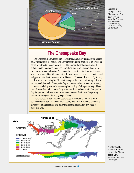

### **The Chesapeake Bay**

The Chesapeake Bay, located in coastal Maryland and Virginia, is the largest of 130 estuaries in the nation. The Bay's most troubling problem is an overabundance of nutrients. Excess nutrients lead to increased algal production and organic matter, a process known as eutrophication. Nitrate accumulates in the Bay during winter and spring. As temperatures rise, this nitrate promotes excessive algal growth. By mid-summer the decay of algae and other dead matter lead to hypoxia in the bottom waters of the Bay (see "Effects on Estuarine Systems").

Researchers are using NADP data to compute the amount of nitrogen deposited by precipitation in Chesapeake Bay and its watershed. Scientists are using computer modeling to simulate the complex cycling of nitrogen through this terrestrial watershed, which has a far greater area than the Bay itself. Chesapeake Bay Program models were used to estimate the contributions of the primary sources of nitrogen to the Bay (see pie chart).

The Chesapeake Bay Program seeks ways to reduce the amount of nitrogen entering the Bay (see map). High-quality data from NADP measurements give cooperating scientists and policymakers the information they need to meet this goal.



A water quality analysis of nitrate as N in the Chesapeake Bay. **Source:** Chesapeake Bay Program.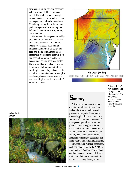these concentration data and deposition velocities simulated by a computer model. The model uses meteorological measurements, and information on land use, vegetation, and surface conditions. Calculating the dry deposition of inorganic nitrogen requires summing the individual rates for nitric acid, nitrate, and ammonium.

The amount of nitrogen deposited by precipitation can be calculated for locations without NTN or AIRMoN sites. One approach uses NADP rainfall, nitrate and ammonium concentration data, and digital terrain maps. These maps make it possible to generate plots that account for terrain effects on wet deposition. The map generated for the Chesapeake Bay watershed using this technique includes important information for planners, policymakers, and the scientific community about the complex relationship between the atmosphere and the ecological health of the nation's estuarine systems.



**Nitrogen (kg/ha)** (3.0 3.6 4.2 4.8 5.4 6.0 6.6 7.2 7.8 8.4 )9.0

> Estimated 1997 wet deposition of nitrogen in the Chesapeake Bay watershed. **Source:** J. W. Grimm and J. A. Lynch, Pennsylvania State University.

## **Summary**

Nitrogen is a macronutrient that is essential for all living things. Fossil fuel combustion, animal husbandry practices, nitrogen fertilizer production and application, and other human activities add substantial amounts of nitrogen compounds to the atmosphere every year. Higher airborne nitrate and ammonium concentrations from these activities increase the wet and dry deposition rates of nitrogen. Increased atmospheric deposition can affect natural and agricultural systems.

Information on nitrogen deposition, such as that collected by the NADP, is important to regulators, policymakers, and land managers responsible for the protection of air and water quality in natural and managed ecosystems.

A headwater stream.

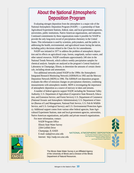### **About the National Atmospheric Deposition Program**

Evaluating nitrogen deposition from the atmosphere is a major role of the National Atmospheric Deposition Program (NADP) — a partnership of State Agricultural Experiment Stations, federal, state, and local government agencies, universities, public institutions, Native American organizations, and industries. Continued commitments by these organizations make it possible for NADP to provide the only long-term record of precipitation chemistry in the United States. This information is used by scientists, policymakers, and the public in addressing the health, environmental, and agricultural issues facing the nation, including policy decisions related to the Clean Air Act amendments.

NADP was initiated in 1977 to address the problem of atmospheric deposition and its effects on agricultural crops, forests, rangelands, surface waters, and other natural resources. NADP coordinates approximately 240 sites in the National Trends Network, which collects weekly precipitation samples for chemical analysis. Samples are analyzed at the program's Central Analytical Laboratory in Champaign, Illinois, to determine the amounts of certain chemicals, including nitrate and ammonium.

Two additional networks joined NADP in the 1990s: the Atmospheric Integrated Research Monitoring Network (AIRMoN) in 1992 and the Mercury Deposition Network (MDN) in 1996. The AIRMoN wet deposition program evaluates the effect of emission changes on precipitation chemistry, combining measurements with atmospheric models. MDN is investigating the importance of atmospheric deposition as a source of mercury in lakes and streams.

A number of federal agencies support NADP, including the Tennessee Valley Authority; U.S. Department of Agriculture (Cooperative State Research, Education, and Extension Service, and Forest Service); U.S. Department of Commerce (National Oceanic and Atmospheric Administration); U.S. Department of Interior (Bureau of Land Management, National Park Service, U.S. Fish & Wildlife Service, and U.S. Geological Survey); and U.S. Environmental Protection Agency. Additional support comes from various other federal agencies, State Agricultural Experiment Stations, state and local government agencies, universities, Native American organizations, and public and private research organizations.

For more information, contact: NADP Program Office Illinois State Water Survey 2204 Griffith Drive Champaign, IL 61820 E-mail: nadp@sws.uiuc.edu Internet: http://nadp.sws.uiuc.edu

NATIONAL ATMOSPHERIC DEPOSITION PROGRAM

A Cooperative Research Support Program of the State Agricultural Experiment Stations (NRSP-3) Federal and State Agencies and Private Research Organizations



The Illinois State Water Survey is an Affiliated Agency of the University of Illinois and a Division of the Illinois Department of Natural Resources.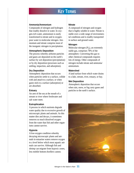### **KEY TERMS**

#### **Ammonia/Ammonium**

Compounds of nitrogen and hydrogen that readily dissolve in water. In oxygen-rich water, ammonium is easily transformed to nitrate and in oxygenpoor water to molecular nitrogen. Ammonium and nitrate comprise most of the inorganic nitrogen in precipitation.

#### **Atmospheric Deposition**

The process whereby airborne particles and gases are deposited on the earth's surface by wet deposition (precipitation) or by dry deposition (processes such as settling, impaction, and adsorption).

#### **Dry Deposition**

Atmospheric deposition that occurs when particles settle to a surface, collide with and attach to a surface, or when gases stick to a surface (adsorption) or are absorbed.

#### **Estuary**

An arm of the sea at the mouth of a stream or river where freshwater and salt water meet.

#### **Eutrophication**

A process in which nutrients degrade water quality due to excessive growth of microscopic plants and animals. As this matter dies and decays, it sometimes removes so much dissolved oxygen from the water that fish and other organisms cannot survive.

#### **Hypoxia**

A low-oxygen condition whereby decaying microscopic plants and animals in estuarine waters remove oxygen to a level below which most aquatic animals can survive. Although fish and shrimp can migrate from hypoxic zones, less mobile bottom dwellers cannot.

#### **Nitrate**

A compound of nitrogen and oxygen that is highly soluble in water. Nitrate is stable over a wide range of environmental conditions and is readily transported in surface and ground water.

#### **Nitrogen**

Molecular nitrogen  $(N_2)$ , an extremely stable gas, comprises 78% of the atmosphere. Converting this gas to other chemical compounds requires lots of energy. Other compounds of nitrogen include nitrate and ammonia/ ammonium.

#### **Watershed**

A land surface from which water drains to a lake, stream, river, estuary, or bay.

#### **Wet Deposition**

Atmospheric deposition that occurs when rain, snow, or fog carry gases and particles to the earth's surface.

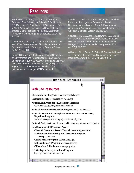### **RESOURCES**

Fenn, M.E., M.A. Poth, J.D. Aber, J.S. Baron, B.T. Bormann, D.W. Johnson, A.D. Lemly, S.G. McNulty, D.F. Ryan, and R. Stottelmeyer. 1998. Nitrogen Excess in North American Ecosystems: a Review of Geographic Extent, Predisposing Factors, Ecosystem Responses, and Management Strategies. Ecol. Appl. **8**:706-733.

Galloway, J.N., H. Levy III, and P.S. Kasibhatla. 1994. Year 2020: Consequences of Population Growth and Development on the Deposition of Oxidized Nitrogen. Ambio 23:120-123.

National Science and Technology Council Committee on Environment and Natural Resources Air Quality Subcommittee. 1999. The Role of Monitoring Networks in the Management of the Nation's Air Quality. Washington, D.C.: U.S. Government Printing Office. (http://www.nnic.noaa.gov/CENR/cenr.html)

Stoddard, J. 1994. Long-term Changes in Watershed Retention of Nitrogen; Its Causes and Aquatic Consequences. In Baker, L.A. (ed.). Environmental Chemistry of Lakes and Reservoirs. Washington, D.C.: American Chemical Society: pp. 223-284.

Vitousek, P.M., J.D. Aber, R.W. Howarth, G.E. Likens, P.A. Matson, D.W. Schindler, W.H. Schlesinger, and D.G. Tilman. 1997. Human Alteration of the Global Nitrogen Cycle: Sources and Consequences. Ecol. Appl. **7**(3):737-750.

Williams, J.N., J. Baron, R. Caine, R. Sommerfeld, and J.R. Sanford. 1996. Nitrogen Saturation in the Rocky Mountains. Environ. Sci. & Tech. **30**:640-646.